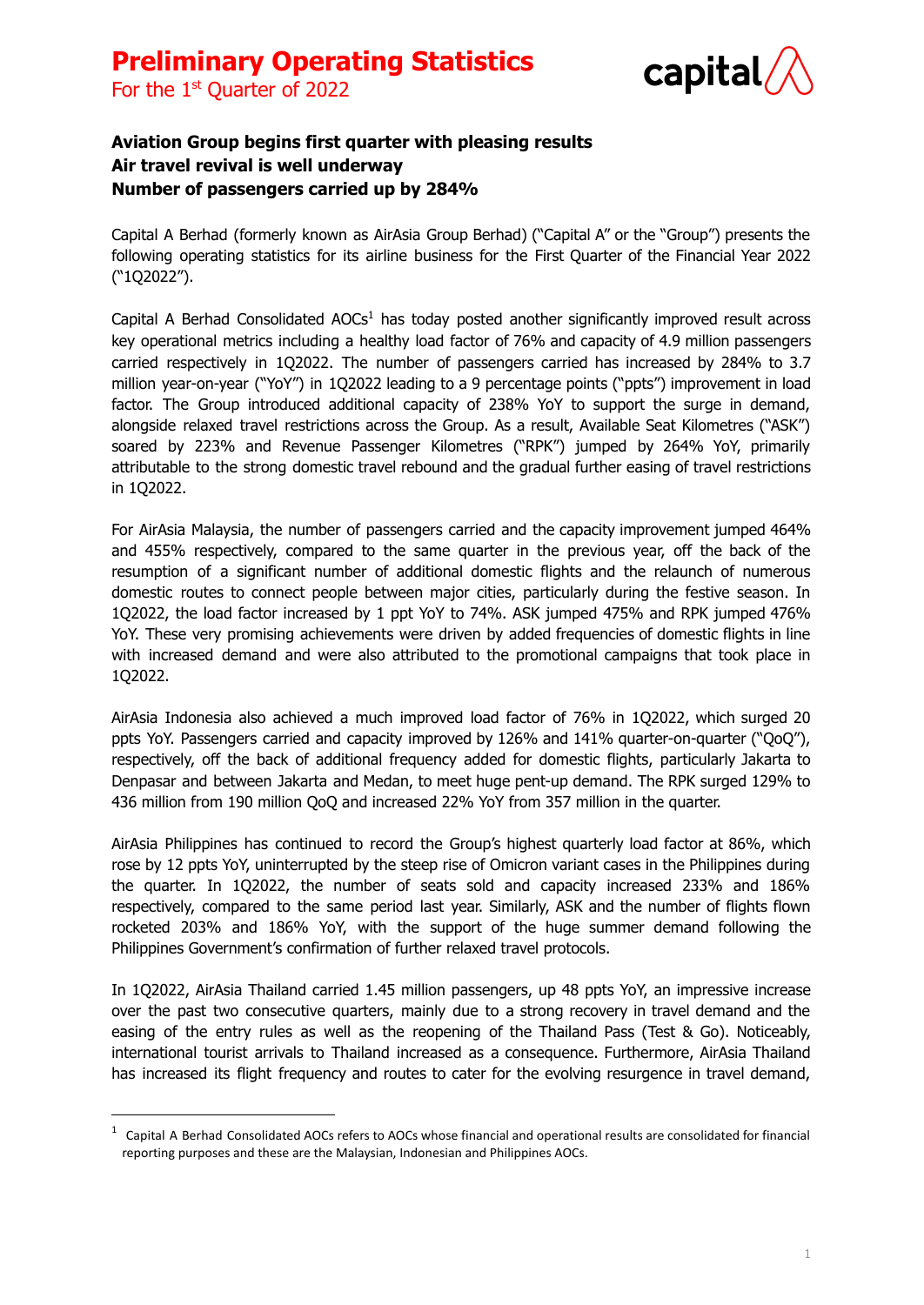



### **Aviation Group begins first quarter with pleasing results Air travel revival is well underway Number of passengers carried up by 284%**

Capital A Berhad (formerly known as AirAsia Group Berhad) ("Capital A" or the "Group") presents the following operating statistics for its airline business for the First Quarter of the Financial Year 2022 ("1Q2022").

Capital A Berhad Consolidated AOCs<sup>1</sup> has today posted another significantly improved result across key operational metrics including a healthy load factor of 76% and capacity of 4.9 million passengers carried respectively in 1Q2022. The number of passengers carried has increased by 284% to 3.7 million year-on-year ("YoY") in 1Q2022 leading to a 9 percentage points ("ppts") improvement in load factor. The Group introduced additional capacity of 238% YoY to support the surge in demand, alongside relaxed travel restrictions across the Group. As a result, Available Seat Kilometres ("ASK") soared by 223% and Revenue Passenger Kilometres ("RPK") jumped by 264% YoY, primarily attributable to the strong domestic travel rebound and the gradual further easing of travel restrictions in 1Q2022.

For AirAsia Malaysia, the number of passengers carried and the capacity improvement jumped 464% and 455% respectively, compared to the same quarter in the previous year, off the back of the resumption of a significant number of additional domestic flights and the relaunch of numerous domestic routes to connect people between major cities, particularly during the festive season. In 1Q2022, the load factor increased by 1 ppt YoY to 74%. ASK jumped 475% and RPK jumped 476% YoY. These very promising achievements were driven by added frequencies of domestic flights in line with increased demand and were also attributed to the promotional campaigns that took place in 1Q2022.

AirAsia Indonesia also achieved a much improved load factor of 76% in 1Q2022, which surged 20 ppts YoY. Passengers carried and capacity improved by 126% and 141% quarter-on-quarter ("QoQ"), respectively, off the back of additional frequency added for domestic flights, particularly Jakarta to Denpasar and between Jakarta and Medan, to meet huge pent-up demand. The RPK surged 129% to 436 million from 190 million QoQ and increased 22% YoY from 357 million in the quarter.

AirAsia Philippines has continued to record the Group's highest quarterly load factor at 86%, which rose by 12 ppts YoY, uninterrupted by the steep rise of Omicron variant cases in the Philippines during the quarter. In 1Q2022, the number of seats sold and capacity increased 233% and 186% respectively, compared to the same period last year. Similarly, ASK and the number of flights flown rocketed 203% and 186% YoY, with the support of the huge summer demand following the Philippines Government's confirmation of further relaxed travel protocols.

In 1Q2022, AirAsia Thailand carried 1.45 million passengers, up 48 ppts YoY, an impressive increase over the past two consecutive quarters, mainly due to a strong recovery in travel demand and the easing of the entry rules as well as the reopening of the Thailand Pass (Test & Go). Noticeably, international tourist arrivals to Thailand increased as a consequence. Furthermore, AirAsia Thailand has increased its flight frequency and routes to cater for the evolving resurgence in travel demand,

 $1$  Capital A Berhad Consolidated AOCs refers to AOCs whose financial and operational results are consolidated for financial reporting purposes and these are the Malaysian, Indonesian and Philippines AOCs.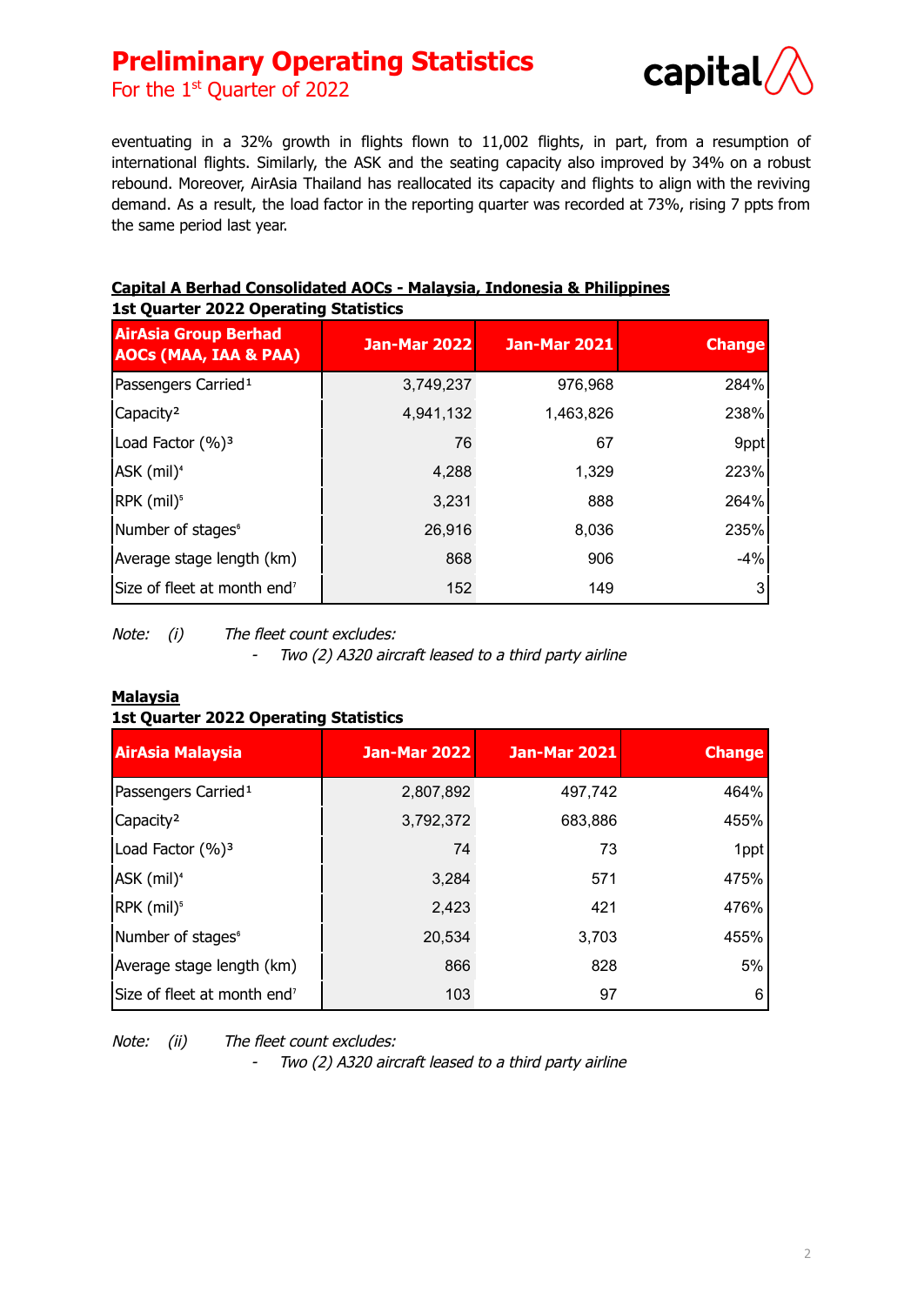

For the  $1<sup>st</sup>$  Quarter of 2022

eventuating in a 32% growth in flights flown to 11,002 flights, in part, from a resumption of international flights. Similarly, the ASK and the seating capacity also improved by 34% on a robust rebound. Moreover, AirAsia Thailand has reallocated its capacity and flights to align with the reviving demand. As a result, the load factor in the reporting quarter was recorded at 73%, rising 7 ppts from the same period last year.

### **AirAsia Group Berhad AOCs (MAA, IAA & PAA) Jan-Mar 2022 Jan-Mar 2021 Change** Passengers Carried<sup>1</sup> 1 3,749,237 976,968 284% Capacity<sup>2</sup> 238% Load Factor (%)<sup>3</sup> and 1 and 2 76 67 and 2 9ppt ASK (mil)<sup>4</sup> 223% RPK  $(mil)^5$  3,231 888 264% Number of stages<sup>®</sup> 1999 and 26,916 26,916 235% Average stage length (km)  $\vert$  868 906 906 -4% Size of fleet at month end<sup>7</sup> 152 159 149 3

#### **Capital A Berhad Consolidated AOCs - Malaysia, Indonesia & Philippines 1st Quarter 2022 Operating Statistics**

Note: (i) The fleet count excludes:

-Two (2) A320 aircraft leased to <sup>a</sup> third party airline

#### **Malaysia 1st Quarter 2022 Operating Statistics**

| <b>AirAsia Malaysia</b>                 | <b>Jan-Mar 2022</b> | <b>Jan-Mar 2021</b> | <b>Change</b> |
|-----------------------------------------|---------------------|---------------------|---------------|
| Passengers Carried <sup>1</sup>         | 2,807,892           | 497,742             | 464%          |
| Capacity <sup>2</sup>                   | 3,792,372           | 683,886             | 455%          |
| Load Factor (%) <sup>3</sup>            | 74                  | 73                  | 1ppt          |
| ASK (mil) <sup>4</sup>                  | 3,284               | 571                 | 475%          |
| RPK (mil) <sup>5</sup>                  | 2,423               | 421                 | 476%          |
| Number of stages <sup>6</sup>           | 20,534              | 3,703               | 455%          |
| Average stage length (km)               | 866                 | 828                 | 5%            |
| Size of fleet at month end <sup>7</sup> | 103                 | 97                  | 6             |

Note: (ii) The fleet count excludes:

-Two (2) A320 aircraft leased to <sup>a</sup> third party airline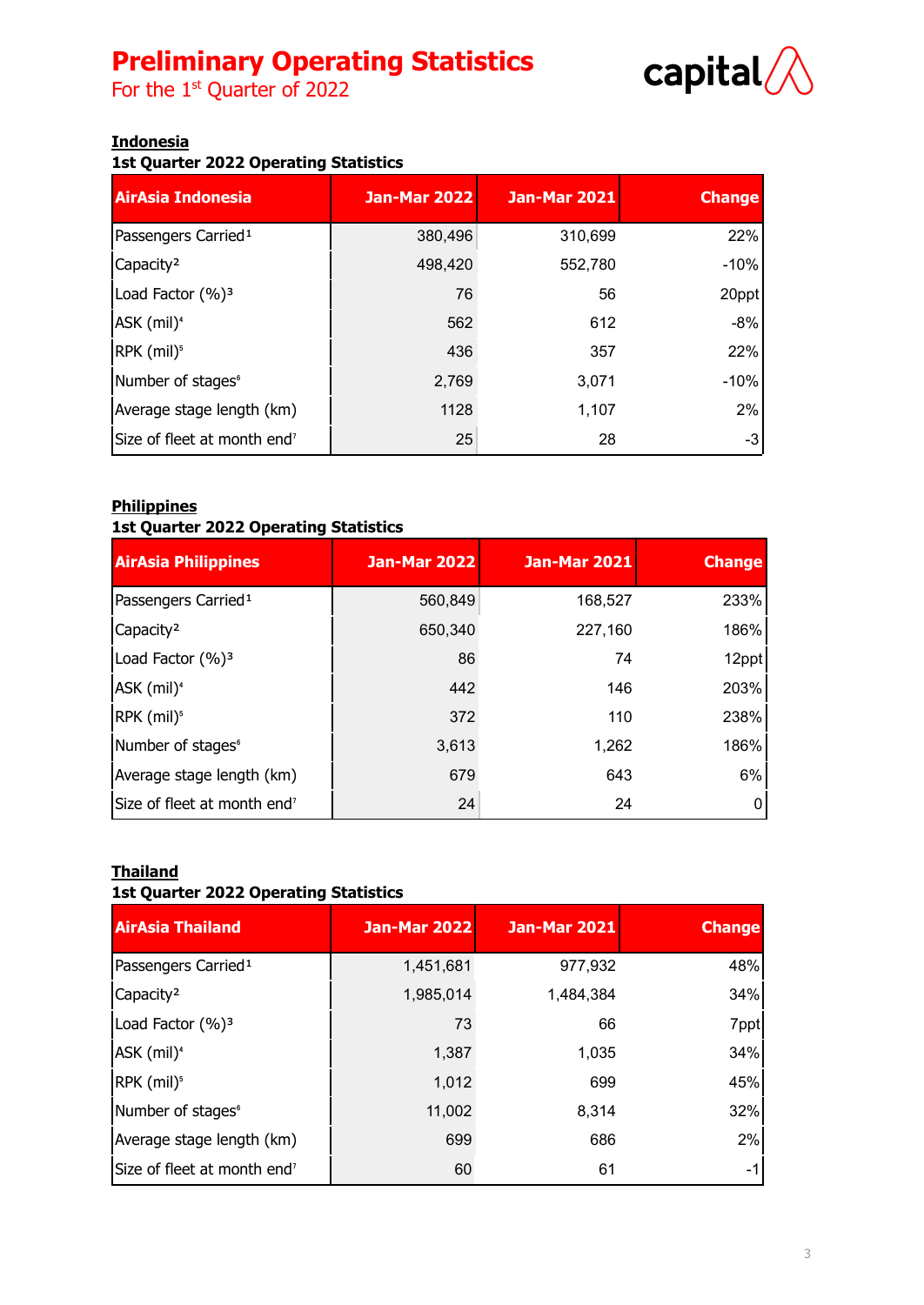For the  $1<sup>st</sup>$  Quarter of 2022



#### **Indonesia**

#### **1st Quarter 2022 Operating Statistics**

| <b>AirAsia Indonesia</b>                | Jan-Mar 2022 | <b>Jan-Mar 2021</b> | <b>Change</b> |
|-----------------------------------------|--------------|---------------------|---------------|
| Passengers Carried <sup>1</sup>         | 380,496      | 310,699             | 22%           |
| Capacity <sup>2</sup>                   | 498,420      | 552,780             | $-10%$        |
| Load Factor (%) <sup>3</sup>            | 76           | 56                  | 20ppt         |
| ASK (mil) <sup>4</sup>                  | 562          | 612                 | $-8%$         |
| RPK (mil) <sup>5</sup>                  | 436          | 357                 | 22%           |
| Number of stages <sup>6</sup>           | 2,769        | 3,071               | $-10%$        |
| Average stage length (km)               | 1128         | 1,107               | 2%            |
| Size of fleet at month end <sup>7</sup> | 25           | 28                  | -3            |

#### **Philippines**

#### **1st Quarter 2022 Operating Statistics**

| <b>AirAsia Philippines</b>              | <b>Jan-Mar 2022</b> | <b>Jan-Mar 2021</b> | <b>Change</b> |
|-----------------------------------------|---------------------|---------------------|---------------|
| Passengers Carried <sup>1</sup>         | 560,849             | 168,527             | 233%          |
| Capacity <sup>2</sup>                   | 650,340             | 227,160             | 186%          |
| Load Factor (%) <sup>3</sup>            | 86                  | 74                  | 12ppt         |
| ASK (mil) <sup>4</sup>                  | 442                 | 146                 | 203%          |
| RPK (mil) <sup>5</sup>                  | 372                 | 110                 | 238%          |
| Number of stages <sup>6</sup>           | 3,613               | 1,262               | 186%          |
| Average stage length (km)               | 679                 | 643                 | 6%            |
| Size of fleet at month end <sup>7</sup> | 24                  | 24                  |               |

#### **Thailand**

#### **1st Quarter 2022 Operating Statistics**

| <b>AirAsia Thailand</b>                 | <b>Jan-Mar 2022</b> | <b>Jan-Mar 2021</b> | <b>Change</b> |
|-----------------------------------------|---------------------|---------------------|---------------|
| Passengers Carried <sup>1</sup>         | 1,451,681           | 977,932             | 48%           |
| Capacity <sup>2</sup>                   | 1,985,014           | 1,484,384           | 34%           |
| Load Factor (%) <sup>3</sup>            | 73                  | 66                  | 7ppt          |
| ASK (mil) <sup>4</sup>                  | 1,387               | 1,035               | 34%           |
| RPK (mil) <sup>5</sup>                  | 1,012               | 699                 | 45%           |
| Number of stages <sup>6</sup>           | 11,002              | 8,314               | 32%           |
| Average stage length (km)               | 699                 | 686                 | 2%            |
| Size of fleet at month end <sup>7</sup> | 60                  | 61                  | -1            |